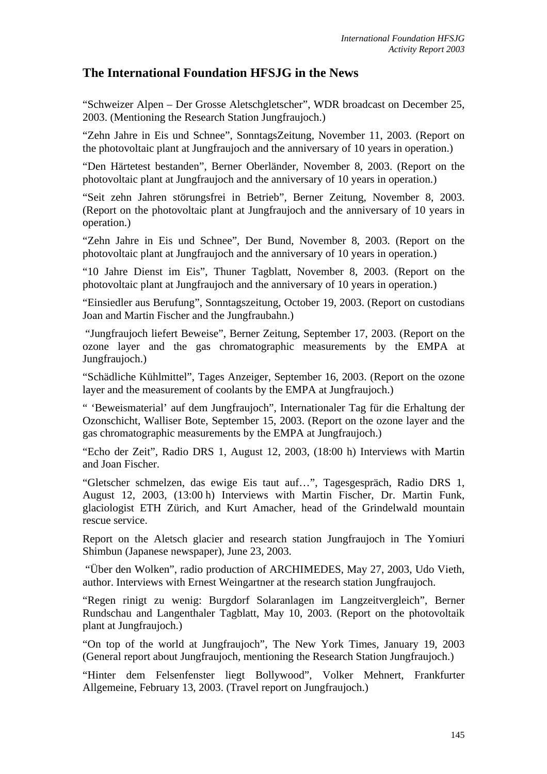## **The International Foundation HFSJG in the News**

"Schweizer Alpen – Der Grosse Aletschgletscher", WDR broadcast on December 25, 2003. (Mentioning the Research Station Jungfraujoch.)

"Zehn Jahre in Eis und Schnee", SonntagsZeitung, November 11, 2003. (Report on the photovoltaic plant at Jungfraujoch and the anniversary of 10 years in operation.)

"Den Härtetest bestanden", Berner Oberländer, November 8, 2003. (Report on the photovoltaic plant at Jungfraujoch and the anniversary of 10 years in operation.)

"Seit zehn Jahren störungsfrei in Betrieb", Berner Zeitung, November 8, 2003. (Report on the photovoltaic plant at Jungfraujoch and the anniversary of 10 years in operation.)

"Zehn Jahre in Eis und Schnee", Der Bund, November 8, 2003. (Report on the photovoltaic plant at Jungfraujoch and the anniversary of 10 years in operation.)

"10 Jahre Dienst im Eis", Thuner Tagblatt, November 8, 2003. (Report on the photovoltaic plant at Jungfraujoch and the anniversary of 10 years in operation.)

"Einsiedler aus Berufung", Sonntagszeitung, October 19, 2003. (Report on custodians Joan and Martin Fischer and the Jungfraubahn.)

"Jungfraujoch liefert Beweise", Berner Zeitung, September 17, 2003. (Report on the ozone layer and the gas chromatographic measurements by the EMPA at Jungfraujoch.)

"Schädliche Kühlmittel", Tages Anzeiger, September 16, 2003. (Report on the ozone layer and the measurement of coolants by the EMPA at Jungfraujoch.)

" 'Beweismaterial' auf dem Jungfraujoch", Internationaler Tag für die Erhaltung der Ozonschicht, Walliser Bote, September 15, 2003. (Report on the ozone layer and the gas chromatographic measurements by the EMPA at Jungfraujoch.)

"Echo der Zeit", Radio DRS 1, August 12, 2003, (18:00 h) Interviews with Martin and Joan Fischer.

"Gletscher schmelzen, das ewige Eis taut auf…", Tagesgespräch, Radio DRS 1, August 12, 2003, (13:00 h) Interviews with Martin Fischer, Dr. Martin Funk, glaciologist ETH Zürich, and Kurt Amacher, head of the Grindelwald mountain rescue service.

Report on the Aletsch glacier and research station Jungfraujoch in The Yomiuri Shimbun (Japanese newspaper), June 23, 2003.

"Über den Wolken", radio production of ARCHIMEDES, May 27, 2003, Udo Vieth, author. Interviews with Ernest Weingartner at the research station Jungfraujoch.

"Regen rinigt zu wenig: Burgdorf Solaranlagen im Langzeitvergleich", Berner Rundschau and Langenthaler Tagblatt, May 10, 2003. (Report on the photovoltaik plant at Jungfraujoch.)

"On top of the world at Jungfraujoch", The New York Times, January 19, 2003 (General report about Jungfraujoch, mentioning the Research Station Jungfraujoch.)

"Hinter dem Felsenfenster liegt Bollywood", Volker Mehnert, Frankfurter Allgemeine, February 13, 2003. (Travel report on Jungfraujoch.)